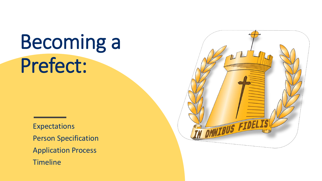# Becoming a Prefect:

Expectations Person Specification Application Process **Timeline** 

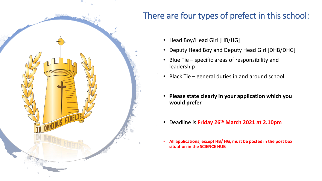

### There are four types of prefect in this school:

- Head Boy/Head Girl [HB/HG]
- Deputy Head Boy and Deputy Head Girl [DHB/DHG]
- Blue Tie specific areas of responsibility and leadership
- Black Tie general duties in and around school
- **Please state clearly in your application which you would prefer**
- Deadline is **Friday 26th March 2021 at 2.10pm**
- **All applications; except HB/ HG, must be posted in the post box situation in the SCIENCE HUB**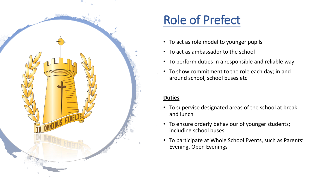

## Role of Prefect

- To act as role model to younger pupils
- To act as ambassador to the school
- To perform duties in a responsible and reliable way
- To show commitment to the role each day; in and around school, school buses etc

#### **Duties**

- To supervise designated areas of the school at break and lunch
- To ensure orderly behaviour of younger students; including school buses
- To participate at Whole School Events, such as Parents' Evening, Open Evenings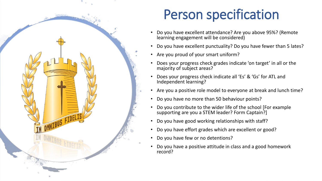

## Person specification

- Do you have excellent attendance? Are you above 95%? (Remote learning engagement will be considered)
- Do you have excellent punctuality? Do you have fewer than 5 lates?
- Are you proud of your smart uniform?
- Does your progress check grades indicate 'on target' in all or the majority of subject areas?
- Does your progress check indicate all 'Es' & 'Gs' for ATL and Independent learning?
- Are you a positive role model to everyone at break and lunch time?
- Do you have no more than 50 behaviour points?
- Do you contribute to the wider life of the school [For example supporting are you a STEM leader? Form Captain?]
- Do you have good working relationships with staff?
- Do you have effort grades which are excellent or good?
- Do you have few or no detentions?
- Do you have a positive attitude in class and a good homework record?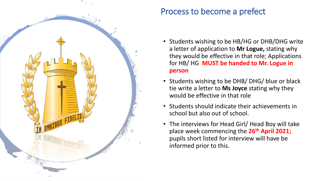

#### Process to become a prefect

- Students wishing to be HB/HG or DHB/DHG write a letter of application to **Mr Logue,** stating why they would be effective in that role; Applications for HB/ HG **MUST be handed to Mr. Logue in person**
- Students wishing to be DHB/ DHG/ blue or black tie write a letter to **Ms Joyce** stating why they would be effective in that role
- Students should indicate their achievements in school but also out of school.
- The interviews for Head Girl/ Head Boy will take place week commencing the **26th April 2021;**  pupils short listed for interview will have be informed prior to this.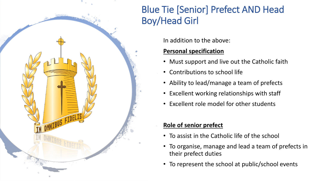

### Blue Tie [Senior] Prefect AND Head Boy/Head Girl

In addition to the above:

#### **Personal specification**

- Must support and live out the Catholic faith
- Contributions to school life
- Ability to lead/manage a team of prefects
- Excellent working relationships with staff
- Excellent role model for other students

#### **Role of senior prefect**

- To assist in the Catholic life of the school
- To organise, manage and lead a team of prefects in their prefect duties
- To represent the school at public/school events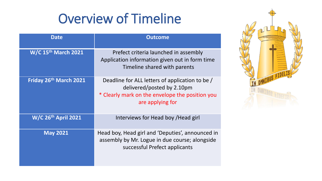## Overview of Timeline

| Date                       | <b>Outcome</b>                                                                                                                                       |
|----------------------------|------------------------------------------------------------------------------------------------------------------------------------------------------|
| <b>W/C 15th March 2021</b> | Prefect criteria launched in assembly<br>Application information given out in form time<br>Timeline shared with parents                              |
| Friday 26th March 2021     | Deadline for ALL letters of application to be /<br>delivered/posted by 2.10pm<br>* Clearly mark on the envelope the position you<br>are applying for |
| W/C 26th April 2021        | Interviews for Head boy / Head girl                                                                                                                  |
| <b>May 2021</b>            | Head boy, Head girl and 'Deputies', announced in<br>assembly by Mr. Logue in due course; alongside<br>successful Prefect applicants                  |